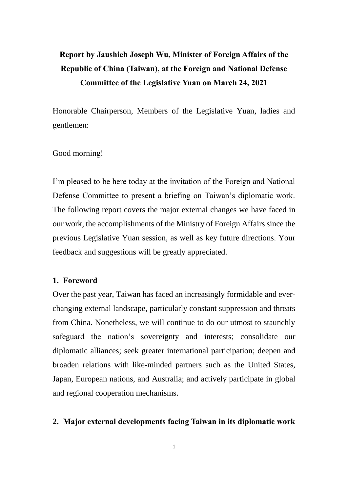# **Report by Jaushieh Joseph Wu, Minister of Foreign Affairs of the Republic of China (Taiwan), at the Foreign and National Defense Committee of the Legislative Yuan on March 24, 2021**

Honorable Chairperson, Members of the Legislative Yuan, ladies and gentlemen:

## Good morning!

I'm pleased to be here today at the invitation of the Foreign and National Defense Committee to present a briefing on Taiwan's diplomatic work. The following report covers the major external changes we have faced in our work, the accomplishments of the Ministry of Foreign Affairs since the previous Legislative Yuan session, as well as key future directions. Your feedback and suggestions will be greatly appreciated.

## **1. Foreword**

Over the past year, Taiwan has faced an increasingly formidable and everchanging external landscape, particularly constant suppression and threats from China. Nonetheless, we will continue to do our utmost to staunchly safeguard the nation's sovereignty and interests; consolidate our diplomatic alliances; seek greater international participation; deepen and broaden relations with like-minded partners such as the United States, Japan, European nations, and Australia; and actively participate in global and regional cooperation mechanisms.

### **2. Major external developments facing Taiwan in its diplomatic work**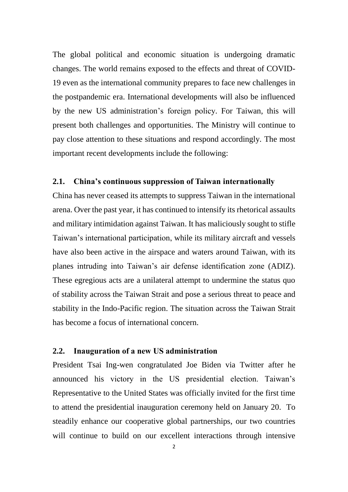The global political and economic situation is undergoing dramatic changes. The world remains exposed to the effects and threat of COVID-19 even as the international community prepares to face new challenges in the postpandemic era. International developments will also be influenced by the new US administration's foreign policy. For Taiwan, this will present both challenges and opportunities. The Ministry will continue to pay close attention to these situations and respond accordingly. The most important recent developments include the following:

#### **2.1. China's continuous suppression of Taiwan internationally**

China has never ceased its attempts to suppress Taiwan in the international arena. Over the past year, it has continued to intensify its rhetorical assaults and military intimidation against Taiwan. It has maliciously sought to stifle Taiwan's international participation, while its military aircraft and vessels have also been active in the airspace and waters around Taiwan, with its planes intruding into Taiwan's air defense identification zone (ADIZ). These egregious acts are a unilateral attempt to undermine the status quo of stability across the Taiwan Strait and pose a serious threat to peace and stability in the Indo-Pacific region. The situation across the Taiwan Strait has become a focus of international concern.

## **2.2. Inauguration of a new US administration**

President Tsai Ing-wen congratulated Joe Biden via Twitter after he announced his victory in the US presidential election. Taiwan's Representative to the United States was officially invited for the first time to attend the presidential inauguration ceremony held on January 20. To steadily enhance our cooperative global partnerships, our two countries will continue to build on our excellent interactions through intensive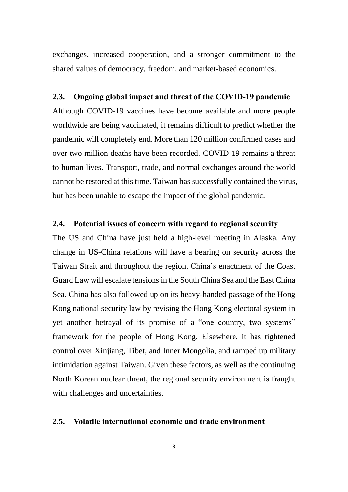exchanges, increased cooperation, and a stronger commitment to the shared values of democracy, freedom, and market-based economics.

### **2.3. Ongoing global impact and threat of the COVID-19 pandemic**

Although COVID-19 vaccines have become available and more people worldwide are being vaccinated, it remains difficult to predict whether the pandemic will completely end. More than 120 million confirmed cases and over two million deaths have been recorded. COVID-19 remains a threat to human lives. Transport, trade, and normal exchanges around the world cannot be restored at this time. Taiwan has successfully contained the virus, but has been unable to escape the impact of the global pandemic.

## **2.4. Potential issues of concern with regard to regional security**

The US and China have just held a high-level meeting in Alaska. Any change in US-China relations will have a bearing on security across the Taiwan Strait and throughout the region. China's enactment of the Coast Guard Law will escalate tensions in the South China Sea and the East China Sea. China has also followed up on its heavy-handed passage of the Hong Kong national security law by revising the Hong Kong electoral system in yet another betrayal of its promise of a "one country, two systems" framework for the people of Hong Kong. Elsewhere, it has tightened control over Xinjiang, Tibet, and Inner Mongolia, and ramped up military intimidation against Taiwan. Given these factors, as well as the continuing North Korean nuclear threat, the regional security environment is fraught with challenges and uncertainties.

## **2.5. Volatile international economic and trade environment**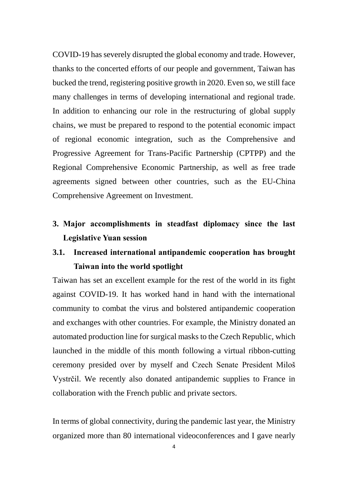COVID-19 has severely disrupted the global economy and trade. However, thanks to the concerted efforts of our people and government, Taiwan has bucked the trend, registering positive growth in 2020. Even so, we still face many challenges in terms of developing international and regional trade. In addition to enhancing our role in the restructuring of global supply chains, we must be prepared to respond to the potential economic impact of regional economic integration, such as the Comprehensive and Progressive Agreement for Trans-Pacific Partnership (CPTPP) and the Regional Comprehensive Economic Partnership, as well as free trade agreements signed between other countries, such as the EU-China Comprehensive Agreement on Investment.

**3. Major accomplishments in steadfast diplomacy since the last Legislative Yuan session**

## **3.1. Increased international antipandemic cooperation has brought Taiwan into the world spotlight**

Taiwan has set an excellent example for the rest of the world in its fight against COVID-19. It has worked hand in hand with the international community to combat the virus and bolstered antipandemic cooperation and exchanges with other countries. For example, the Ministry donated an automated production line for surgical masks to the Czech Republic, which launched in the middle of this month following a virtual ribbon-cutting ceremony presided over by myself and Czech Senate President Miloš Vystrčil. We recently also donated antipandemic supplies to France in collaboration with the French public and private sectors.

In terms of global connectivity, during the pandemic last year, the Ministry organized more than 80 international videoconferences and I gave nearly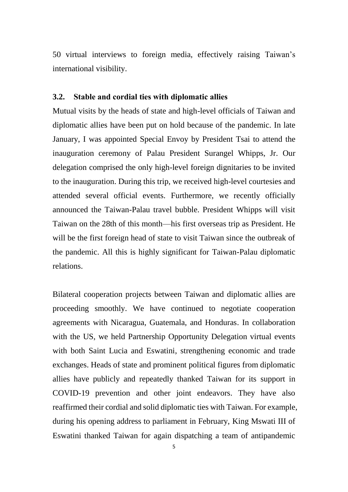50 virtual interviews to foreign media, effectively raising Taiwan's international visibility.

## **3.2. Stable and cordial ties with diplomatic allies**

Mutual visits by the heads of state and high-level officials of Taiwan and diplomatic allies have been put on hold because of the pandemic. In late January, I was appointed Special Envoy by President Tsai to attend the inauguration ceremony of Palau President Surangel Whipps, Jr. Our delegation comprised the only high-level foreign dignitaries to be invited to the inauguration. During this trip, we received high-level courtesies and attended several official events. Furthermore, we recently officially announced the Taiwan-Palau travel bubble. President Whipps will visit Taiwan on the 28th of this month—his first overseas trip as President. He will be the first foreign head of state to visit Taiwan since the outbreak of the pandemic. All this is highly significant for Taiwan-Palau diplomatic relations.

Bilateral cooperation projects between Taiwan and diplomatic allies are proceeding smoothly. We have continued to negotiate cooperation agreements with Nicaragua, Guatemala, and Honduras. In collaboration with the US, we held Partnership Opportunity Delegation virtual events with both Saint Lucia and Eswatini, strengthening economic and trade exchanges. Heads of state and prominent political figures from diplomatic allies have publicly and repeatedly thanked Taiwan for its support in COVID-19 prevention and other joint endeavors. They have also reaffirmed their cordial and solid diplomatic ties with Taiwan. For example, during his opening address to parliament in February, King Mswati III of Eswatini thanked Taiwan for again dispatching a team of antipandemic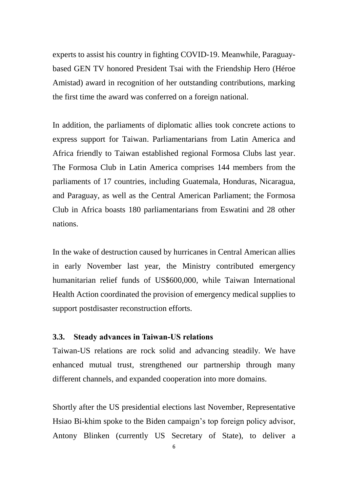experts to assist his country in fighting COVID-19. Meanwhile, Paraguaybased GEN TV honored President Tsai with the Friendship Hero (Héroe Amistad) award in recognition of her outstanding contributions, marking the first time the award was conferred on a foreign national.

In addition, the parliaments of diplomatic allies took concrete actions to express support for Taiwan. Parliamentarians from Latin America and Africa friendly to Taiwan established regional Formosa Clubs last year. The Formosa Club in Latin America comprises 144 members from the parliaments of 17 countries, including Guatemala, Honduras, Nicaragua, and Paraguay, as well as the Central American Parliament; the Formosa Club in Africa boasts 180 parliamentarians from Eswatini and 28 other nations.

In the wake of destruction caused by hurricanes in Central American allies in early November last year, the Ministry contributed emergency humanitarian relief funds of US\$600,000, while Taiwan International Health Action coordinated the provision of emergency medical supplies to support postdisaster reconstruction efforts.

## **3.3. Steady advances in Taiwan-US relations**

Taiwan-US relations are rock solid and advancing steadily. We have enhanced mutual trust, strengthened our partnership through many different channels, and expanded cooperation into more domains.

Shortly after the US presidential elections last November, Representative Hsiao Bi-khim spoke to the Biden campaign's top foreign policy advisor, Antony Blinken (currently US Secretary of State), to deliver a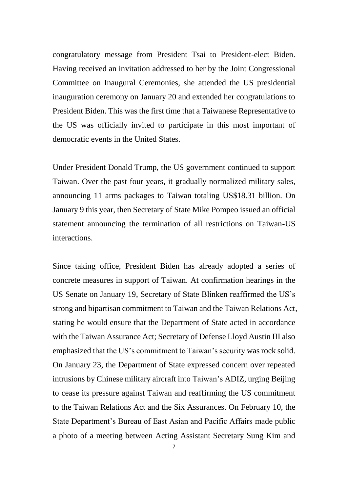congratulatory message from President Tsai to President-elect Biden. Having received an invitation addressed to her by the Joint Congressional Committee on Inaugural Ceremonies, she attended the US presidential inauguration ceremony on January 20 and extended her congratulations to President Biden. This was the first time that a Taiwanese Representative to the US was officially invited to participate in this most important of democratic events in the United States.

Under President Donald Trump, the US government continued to support Taiwan. Over the past four years, it gradually normalized military sales, announcing 11 arms packages to Taiwan totaling US\$18.31 billion. On January 9 this year, then Secretary of State Mike Pompeo issued an official statement announcing the termination of all restrictions on Taiwan-US interactions.

Since taking office, President Biden has already adopted a series of concrete measures in support of Taiwan. At confirmation hearings in the US Senate on January 19, Secretary of State Blinken reaffirmed the US's strong and bipartisan commitment to Taiwan and the Taiwan Relations Act, stating he would ensure that the Department of State acted in accordance with the Taiwan Assurance Act; Secretary of Defense Lloyd Austin III also emphasized that the US's commitment to Taiwan's security was rock solid. On January 23, the Department of State expressed concern over repeated intrusions by Chinese military aircraft into Taiwan's ADIZ, urging Beijing to cease its pressure against Taiwan and reaffirming the US commitment to the Taiwan Relations Act and the Six Assurances. On February 10, the State Department's Bureau of East Asian and Pacific Affairs made public a photo of a meeting between Acting Assistant Secretary Sung Kim and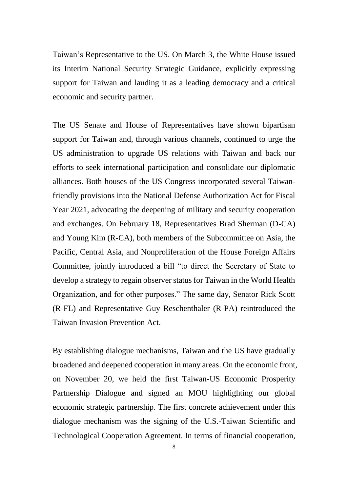Taiwan's Representative to the US. On March 3, the White House issued its Interim National Security Strategic Guidance, explicitly expressing support for Taiwan and lauding it as a leading democracy and a critical economic and security partner.

The US Senate and House of Representatives have shown bipartisan support for Taiwan and, through various channels, continued to urge the US administration to upgrade US relations with Taiwan and back our efforts to seek international participation and consolidate our diplomatic alliances. Both houses of the US Congress incorporated several Taiwanfriendly provisions into the National Defense Authorization Act for Fiscal Year 2021, advocating the deepening of military and security cooperation and exchanges. On February 18, Representatives Brad Sherman (D-CA) and Young Kim (R-CA), both members of the Subcommittee on Asia, the Pacific, Central Asia, and Nonproliferation of the House Foreign Affairs Committee, jointly introduced a bill "to direct the Secretary of State to develop a strategy to regain observer status for Taiwan in the World Health Organization, and for other purposes." The same day, Senator Rick Scott (R-FL) and Representative Guy Reschenthaler (R-PA) reintroduced the Taiwan Invasion Prevention Act.

By establishing dialogue mechanisms, Taiwan and the US have gradually broadened and deepened cooperation in many areas. On the economic front, on November 20, we held the first Taiwan-US Economic Prosperity Partnership Dialogue and signed an MOU highlighting our global economic strategic partnership. The first concrete achievement under this dialogue mechanism was the signing of the U.S.-Taiwan Scientific and Technological Cooperation Agreement. In terms of financial cooperation,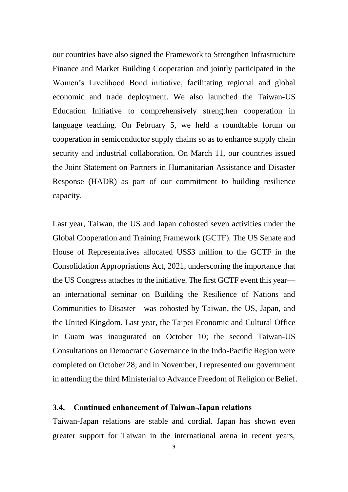our countries have also signed the Framework to Strengthen Infrastructure Finance and Market Building Cooperation and jointly participated in the Women's Livelihood Bond initiative, facilitating regional and global economic and trade deployment. We also launched the Taiwan-US Education Initiative to comprehensively strengthen cooperation in language teaching. On February 5, we held a roundtable forum on cooperation in semiconductor supply chains so as to enhance supply chain security and industrial collaboration. On March 11, our countries issued the Joint Statement on Partners in Humanitarian Assistance and Disaster Response (HADR) as part of our commitment to building resilience capacity.

Last year, Taiwan, the US and Japan cohosted seven activities under the Global Cooperation and Training Framework (GCTF). The US Senate and House of Representatives allocated US\$3 million to the GCTF in the Consolidation Appropriations Act, 2021, underscoring the importance that the US Congress attaches to the initiative. The first GCTF event this year an international seminar on Building the Resilience of Nations and Communities to Disaster—was cohosted by Taiwan, the US, Japan, and the United Kingdom. Last year, the Taipei Economic and Cultural Office in Guam was inaugurated on October 10; the second Taiwan-US Consultations on Democratic Governance in the Indo-Pacific Region were completed on October 28; and in November, I represented our government in attending the third Ministerial to Advance Freedom of Religion or Belief.

## **3.4. Continued enhancement of Taiwan-Japan relations**

Taiwan-Japan relations are stable and cordial. Japan has shown even greater support for Taiwan in the international arena in recent years,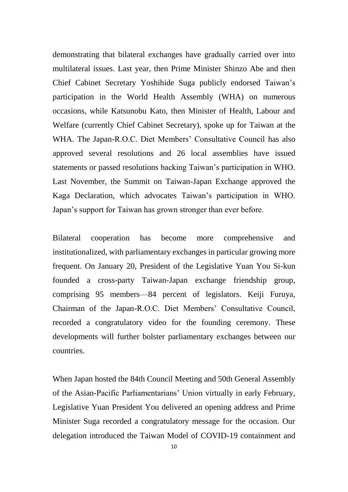demonstrating that bilateral exchanges have gradually carried over into multilateral issues. Last year, then Prime Minister Shinzo Abe and then Chief Cabinet Secretary Yoshihide Suga publicly endorsed Taiwan's participation in the World Health Assembly (WHA) on numerous occasions, while Katsunobu Kato, then Minister of Health, Labour and Welfare (currently Chief Cabinet Secretary), spoke up for Taiwan at the WHA. The Japan-R.O.C. Diet Members' Consultative Council has also approved several resolutions and 26 local assemblies have issued statements or passed resolutions backing Taiwan's participation in WHO. Last November, the Summit on Taiwan-Japan Exchange approved the Kaga Declaration, which advocates Taiwan's participation in WHO. Japan's support for Taiwan has grown stronger than ever before.

Bilateral cooperation has become more comprehensive and institutionalized, with parliamentary exchanges in particular growing more frequent. On January 20, President of the Legislative Yuan You Si-kun founded a cross-party Taiwan-Japan exchange friendship group, comprising 95 members—84 percent of legislators. Keiji Furuya, Chairman of the Japan-R.O.C. Diet Members' Consultative Council, recorded a congratulatory video for the founding ceremony. These developments will further bolster parliamentary exchanges between our countries.

When Japan hosted the 84th Council Meeting and 50th General Assembly of the Asian-Pacific Parliamentarians' Union virtually in early February, Legislative Yuan President You delivered an opening address and Prime Minister Suga recorded a congratulatory message for the occasion. Our delegation introduced the Taiwan Model of COVID-19 containment and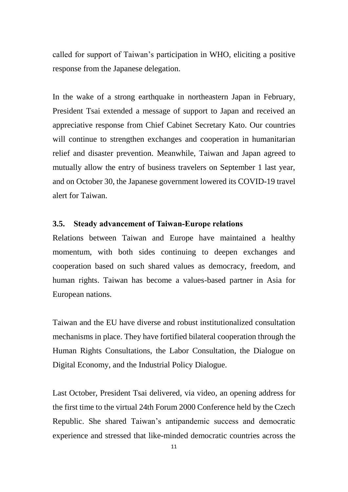called for support of Taiwan's participation in WHO, eliciting a positive response from the Japanese delegation.

In the wake of a strong earthquake in northeastern Japan in February, President Tsai extended a message of support to Japan and received an appreciative response from Chief Cabinet Secretary Kato. Our countries will continue to strengthen exchanges and cooperation in humanitarian relief and disaster prevention. Meanwhile, Taiwan and Japan agreed to mutually allow the entry of business travelers on September 1 last year, and on October 30, the Japanese government lowered its COVID-19 travel alert for Taiwan.

## **3.5. Steady advancement of Taiwan-Europe relations**

Relations between Taiwan and Europe have maintained a healthy momentum, with both sides continuing to deepen exchanges and cooperation based on such shared values as democracy, freedom, and human rights. Taiwan has become a values-based partner in Asia for European nations.

Taiwan and the EU have diverse and robust institutionalized consultation mechanisms in place. They have fortified bilateral cooperation through the Human Rights Consultations, the Labor Consultation, the Dialogue on Digital Economy, and the Industrial Policy Dialogue.

Last October, President Tsai delivered, via video, an opening address for the first time to the virtual 24th Forum 2000 Conference held by the Czech Republic. She shared Taiwan's antipandemic success and democratic experience and stressed that like-minded democratic countries across the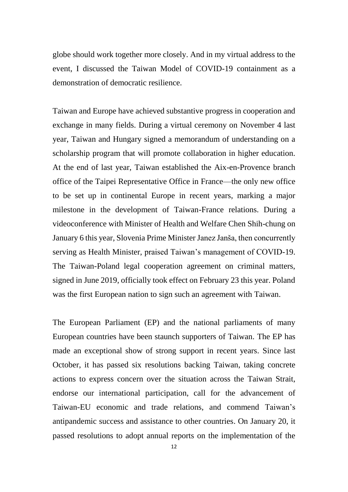globe should work together more closely. And in my virtual address to the event, I discussed the Taiwan Model of COVID-19 containment as a demonstration of democratic resilience.

Taiwan and Europe have achieved substantive progress in cooperation and exchange in many fields. During a virtual ceremony on November 4 last year, Taiwan and Hungary signed a memorandum of understanding on a scholarship program that will promote collaboration in higher education. At the end of last year, Taiwan established the Aix-en-Provence branch office of the Taipei Representative Office in France—the only new office to be set up in continental Europe in recent years, marking a major milestone in the development of Taiwan-France relations. During a videoconference with Minister of Health and Welfare Chen Shih-chung on January 6 this year, Slovenia Prime Minister Janez Janša, then concurrently serving as Health Minister, praised Taiwan's management of COVID-19. The Taiwan-Poland legal cooperation agreement on criminal matters, signed in June 2019, officially took effect on February 23 this year. Poland was the first European nation to sign such an agreement with Taiwan.

The European Parliament (EP) and the national parliaments of many European countries have been staunch supporters of Taiwan. The EP has made an exceptional show of strong support in recent years. Since last October, it has passed six resolutions backing Taiwan, taking concrete actions to express concern over the situation across the Taiwan Strait, endorse our international participation, call for the advancement of Taiwan-EU economic and trade relations, and commend Taiwan's antipandemic success and assistance to other countries. On January 20, it passed resolutions to adopt annual reports on the implementation of the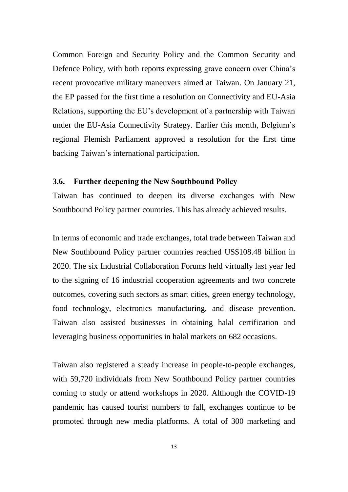Common Foreign and Security Policy and the Common Security and Defence Policy, with both reports expressing grave concern over China's recent provocative military maneuvers aimed at Taiwan. On January 21, the EP passed for the first time a resolution on Connectivity and EU-Asia Relations, supporting the EU's development of a partnership with Taiwan under the EU-Asia Connectivity Strategy. Earlier this month, Belgium's regional Flemish Parliament approved a resolution for the first time backing Taiwan's international participation.

#### **3.6. Further deepening the New Southbound Policy**

Taiwan has continued to deepen its diverse exchanges with New Southbound Policy partner countries. This has already achieved results.

In terms of economic and trade exchanges, total trade between Taiwan and New Southbound Policy partner countries reached US\$108.48 billion in 2020. The six Industrial Collaboration Forums held virtually last year led to the signing of 16 industrial cooperation agreements and two concrete outcomes, covering such sectors as smart cities, green energy technology, food technology, electronics manufacturing, and disease prevention. Taiwan also assisted businesses in obtaining halal certification and leveraging business opportunities in halal markets on 682 occasions.

Taiwan also registered a steady increase in people-to-people exchanges, with 59,720 individuals from New Southbound Policy partner countries coming to study or attend workshops in 2020. Although the COVID-19 pandemic has caused tourist numbers to fall, exchanges continue to be promoted through new media platforms. A total of 300 marketing and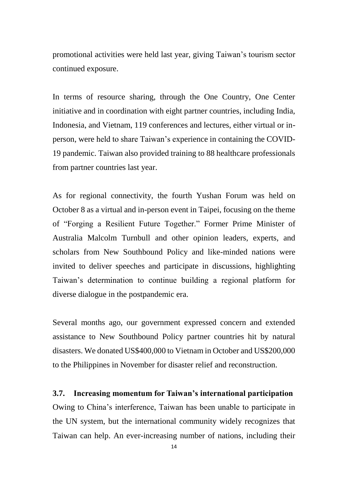promotional activities were held last year, giving Taiwan's tourism sector continued exposure.

In terms of resource sharing, through the One Country, One Center initiative and in coordination with eight partner countries, including India, Indonesia, and Vietnam, 119 conferences and lectures, either virtual or inperson, were held to share Taiwan's experience in containing the COVID-19 pandemic. Taiwan also provided training to 88 healthcare professionals from partner countries last year.

As for regional connectivity, the fourth Yushan Forum was held on October 8 as a virtual and in-person event in Taipei, focusing on the theme of "Forging a Resilient Future Together." Former Prime Minister of Australia Malcolm Turnbull and other opinion leaders, experts, and scholars from New Southbound Policy and like-minded nations were invited to deliver speeches and participate in discussions, highlighting Taiwan's determination to continue building a regional platform for diverse dialogue in the postpandemic era.

Several months ago, our government expressed concern and extended assistance to New Southbound Policy partner countries hit by natural disasters. We donated US\$400,000 to Vietnam in October and US\$200,000 to the Philippines in November for disaster relief and reconstruction.

## **3.7. Increasing momentum for Taiwan's international participation**

Owing to China's interference, Taiwan has been unable to participate in the UN system, but the international community widely recognizes that Taiwan can help. An ever-increasing number of nations, including their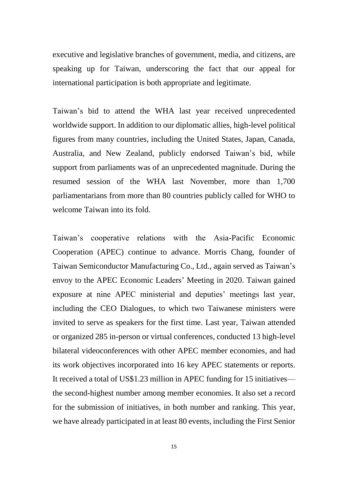executive and legislative branches of government, media, and citizens, are speaking up for Taiwan, underscoring the fact that our appeal for international participation is both appropriate and legitimate.

Taiwan's bid to attend the WHA last year received unprecedented worldwide support. In addition to our diplomatic allies, high-level political figures from many countries, including the United States, Japan, Canada, Australia, and New Zealand, publicly endorsed Taiwan's bid, while support from parliaments was of an unprecedented magnitude. During the resumed session of the WHA last November, more than 1,700 parliamentarians from more than 80 countries publicly called for WHO to welcome Taiwan into its fold.

Taiwan's cooperative relations with the Asia-Pacific Economic Cooperation (APEC) continue to advance. Morris Chang, founder of Taiwan Semiconductor Manufacturing Co., Ltd., again served as Taiwan's envoy to the APEC Economic Leaders' Meeting in 2020. Taiwan gained exposure at nine APEC ministerial and deputies' meetings last year, including the CEO Dialogues, to which two Taiwanese ministers were invited to serve as speakers for the first time. Last year, Taiwan attended or organized 285 in-person or virtual conferences, conducted 13 high-level bilateral videoconferences with other APEC member economies, and had its work objectives incorporated into 16 key APEC statements or reports. It received a total of US\$1.23 million in APEC funding for 15 initiatives the second-highest number among member economies. It also set a record for the submission of initiatives, in both number and ranking. This year, we have already participated in at least 80 events, including the First Senior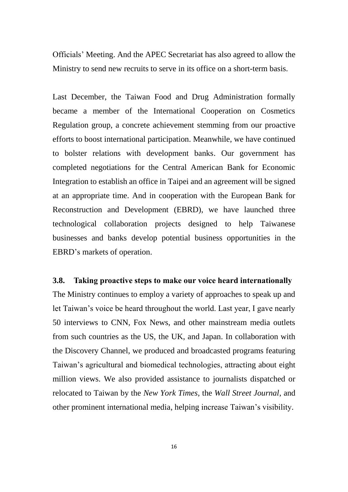Officials' Meeting. And the APEC Secretariat has also agreed to allow the Ministry to send new recruits to serve in its office on a short-term basis.

Last December, the Taiwan Food and Drug Administration formally became a member of the International Cooperation on Cosmetics Regulation group, a concrete achievement stemming from our proactive efforts to boost international participation. Meanwhile, we have continued to bolster relations with development banks. Our government has completed negotiations for the Central American Bank for Economic Integration to establish an office in Taipei and an agreement will be signed at an appropriate time. And in cooperation with the European Bank for Reconstruction and Development (EBRD), we have launched three technological collaboration projects designed to help Taiwanese businesses and banks develop potential business opportunities in the EBRD's markets of operation.

## **3.8. Taking proactive steps to make our voice heard internationally**

The Ministry continues to employ a variety of approaches to speak up and let Taiwan's voice be heard throughout the world. Last year, I gave nearly 50 interviews to CNN, Fox News, and other mainstream media outlets from such countries as the US, the UK, and Japan. In collaboration with the Discovery Channel, we produced and broadcasted programs featuring Taiwan's agricultural and biomedical technologies, attracting about eight million views. We also provided assistance to journalists dispatched or relocated to Taiwan by the *New York Times*, the *Wall Street Journal*, and other prominent international media, helping increase Taiwan's visibility.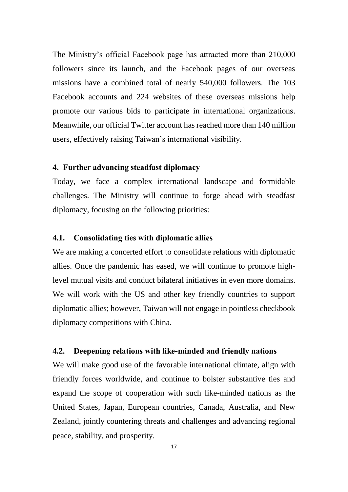The Ministry's official Facebook page has attracted more than 210,000 followers since its launch, and the Facebook pages of our overseas missions have a combined total of nearly 540,000 followers. The 103 Facebook accounts and 224 websites of these overseas missions help promote our various bids to participate in international organizations. Meanwhile, our official Twitter account has reached more than 140 million users, effectively raising Taiwan's international visibility.

#### **4. Further advancing steadfast diplomacy**

Today, we face a complex international landscape and formidable challenges. The Ministry will continue to forge ahead with steadfast diplomacy, focusing on the following priorities:

## **4.1. Consolidating ties with diplomatic allies**

We are making a concerted effort to consolidate relations with diplomatic allies. Once the pandemic has eased, we will continue to promote highlevel mutual visits and conduct bilateral initiatives in even more domains. We will work with the US and other key friendly countries to support diplomatic allies; however, Taiwan will not engage in pointless checkbook diplomacy competitions with China.

#### **4.2. Deepening relations with like-minded and friendly nations**

We will make good use of the favorable international climate, align with friendly forces worldwide, and continue to bolster substantive ties and expand the scope of cooperation with such like-minded nations as the United States, Japan, European countries, Canada, Australia, and New Zealand, jointly countering threats and challenges and advancing regional peace, stability, and prosperity.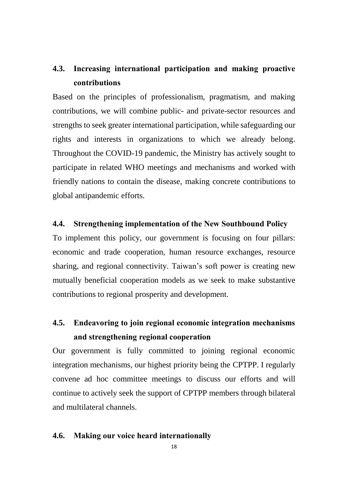## **4.3. Increasing international participation and making proactive contributions**

Based on the principles of professionalism, pragmatism, and making contributions, we will combine public- and private-sector resources and strengths to seek greater international participation, while safeguarding our rights and interests in organizations to which we already belong. Throughout the COVID-19 pandemic, the Ministry has actively sought to participate in related WHO meetings and mechanisms and worked with friendly nations to contain the disease, making concrete contributions to global antipandemic efforts.

## **4.4. Strengthening implementation of the New Southbound Policy**

To implement this policy, our government is focusing on four pillars: economic and trade cooperation, human resource exchanges, resource sharing, and regional connectivity. Taiwan's soft power is creating new mutually beneficial cooperation models as we seek to make substantive contributions to regional prosperity and development.

## **4.5. Endeavoring to join regional economic integration mechanisms and strengthening regional cooperation**

Our government is fully committed to joining regional economic integration mechanisms, our highest priority being the CPTPP. I regularly convene ad hoc committee meetings to discuss our efforts and will continue to actively seek the support of CPTPP members through bilateral and multilateral channels.

## **4.6. Making our voice heard internationally**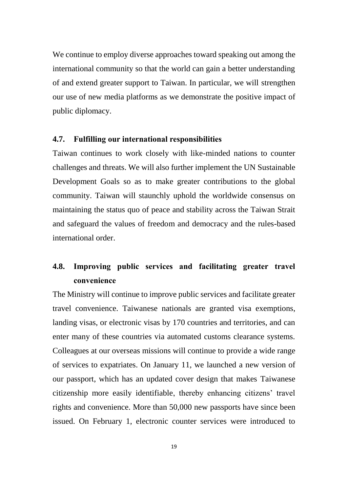We continue to employ diverse approaches toward speaking out among the international community so that the world can gain a better understanding of and extend greater support to Taiwan. In particular, we will strengthen our use of new media platforms as we demonstrate the positive impact of public diplomacy.

## **4.7. Fulfilling our international responsibilities**

Taiwan continues to work closely with like-minded nations to counter challenges and threats. We will also further implement the UN Sustainable Development Goals so as to make greater contributions to the global community. Taiwan will staunchly uphold the worldwide consensus on maintaining the status quo of peace and stability across the Taiwan Strait and safeguard the values of freedom and democracy and the rules-based international order.

## **4.8. Improving public services and facilitating greater travel convenience**

The Ministry will continue to improve public services and facilitate greater travel convenience. Taiwanese nationals are granted visa exemptions, landing visas, or electronic visas by 170 countries and territories, and can enter many of these countries via automated customs clearance systems. Colleagues at our overseas missions will continue to provide a wide range of services to expatriates. On January 11, we launched a new version of our passport, which has an updated cover design that makes Taiwanese citizenship more easily identifiable, thereby enhancing citizens' travel rights and convenience. More than 50,000 new passports have since been issued. On February 1, electronic counter services were introduced to